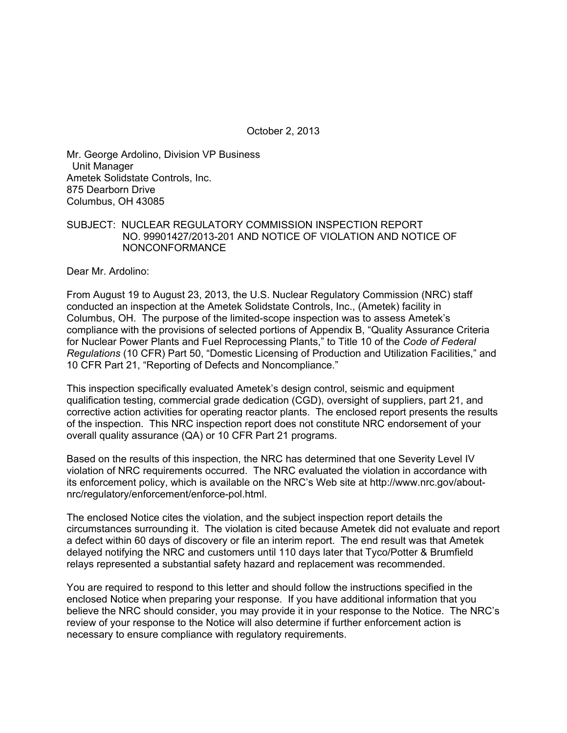October 2, 2013

Mr. George Ardolino, Division VP Business Unit Manager Ametek Solidstate Controls, Inc. 875 Dearborn Drive Columbus, OH 43085

#### SUBJECT: NUCLEAR REGULATORY COMMISSION INSPECTION REPORT NO. 99901427/2013-201 AND NOTICE OF VIOLATION AND NOTICE OF NONCONFORMANCE

Dear Mr. Ardolino:

From August 19 to August 23, 2013, the U.S. Nuclear Regulatory Commission (NRC) staff conducted an inspection at the Ametek Solidstate Controls, Inc., (Ametek) facility in Columbus, OH. The purpose of the limited-scope inspection was to assess Ametek's compliance with the provisions of selected portions of Appendix B, "Quality Assurance Criteria for Nuclear Power Plants and Fuel Reprocessing Plants," to Title 10 of the *Code of Federal Regulations* (10 CFR) Part 50, "Domestic Licensing of Production and Utilization Facilities," and 10 CFR Part 21, "Reporting of Defects and Noncompliance."

This inspection specifically evaluated Ametek's design control, seismic and equipment qualification testing, commercial grade dedication (CGD), oversight of suppliers, part 21, and corrective action activities for operating reactor plants. The enclosed report presents the results of the inspection. This NRC inspection report does not constitute NRC endorsement of your overall quality assurance (QA) or 10 CFR Part 21 programs.

Based on the results of this inspection, the NRC has determined that one Severity Level IV violation of NRC requirements occurred. The NRC evaluated the violation in accordance with its enforcement policy, which is available on the NRC's Web site at http://www.nrc.gov/aboutnrc/regulatory/enforcement/enforce-pol.html.

The enclosed Notice cites the violation, and the subject inspection report details the circumstances surrounding it. The violation is cited because Ametek did not evaluate and report a defect within 60 days of discovery or file an interim report. The end result was that Ametek delayed notifying the NRC and customers until 110 days later that Tyco/Potter & Brumfield relays represented a substantial safety hazard and replacement was recommended.

You are required to respond to this letter and should follow the instructions specified in the enclosed Notice when preparing your response. If you have additional information that you believe the NRC should consider, you may provide it in your response to the Notice. The NRC's review of your response to the Notice will also determine if further enforcement action is necessary to ensure compliance with regulatory requirements.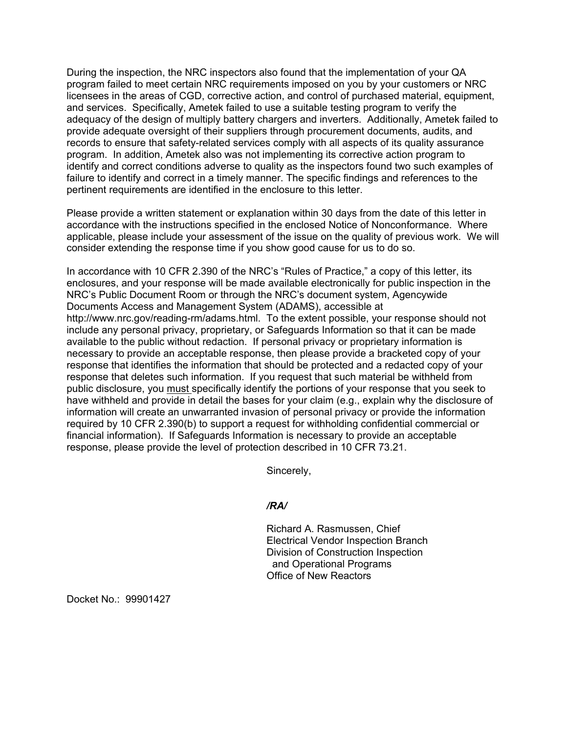During the inspection, the NRC inspectors also found that the implementation of your QA program failed to meet certain NRC requirements imposed on you by your customers or NRC licensees in the areas of CGD, corrective action, and control of purchased material, equipment, and services. Specifically, Ametek failed to use a suitable testing program to verify the adequacy of the design of multiply battery chargers and inverters. Additionally, Ametek failed to provide adequate oversight of their suppliers through procurement documents, audits, and records to ensure that safety-related services comply with all aspects of its quality assurance program. In addition, Ametek also was not implementing its corrective action program to identify and correct conditions adverse to quality as the inspectors found two such examples of failure to identify and correct in a timely manner. The specific findings and references to the pertinent requirements are identified in the enclosure to this letter.

Please provide a written statement or explanation within 30 days from the date of this letter in accordance with the instructions specified in the enclosed Notice of Nonconformance. Where applicable, please include your assessment of the issue on the quality of previous work. We will consider extending the response time if you show good cause for us to do so.

In accordance with 10 CFR 2.390 of the NRC's "Rules of Practice," a copy of this letter, its enclosures, and your response will be made available electronically for public inspection in the NRC's Public Document Room or through the NRC's document system, Agencywide Documents Access and Management System (ADAMS), accessible at http://www.nrc.gov/reading-rm/adams.html. To the extent possible, your response should not include any personal privacy, proprietary, or Safeguards Information so that it can be made available to the public without redaction. If personal privacy or proprietary information is necessary to provide an acceptable response, then please provide a bracketed copy of your response that identifies the information that should be protected and a redacted copy of your response that deletes such information. If you request that such material be withheld from public disclosure, you must specifically identify the portions of your response that you seek to have withheld and provide in detail the bases for your claim (e.g., explain why the disclosure of information will create an unwarranted invasion of personal privacy or provide the information required by 10 CFR 2.390(b) to support a request for withholding confidential commercial or financial information). If Safeguards Information is necessary to provide an acceptable response, please provide the level of protection described in 10 CFR 73.21.

Sincerely,

## */RA/*

Richard A. Rasmussen, Chief Electrical Vendor Inspection Branch Division of Construction Inspection and Operational Programs Office of New Reactors

Docket No.: 99901427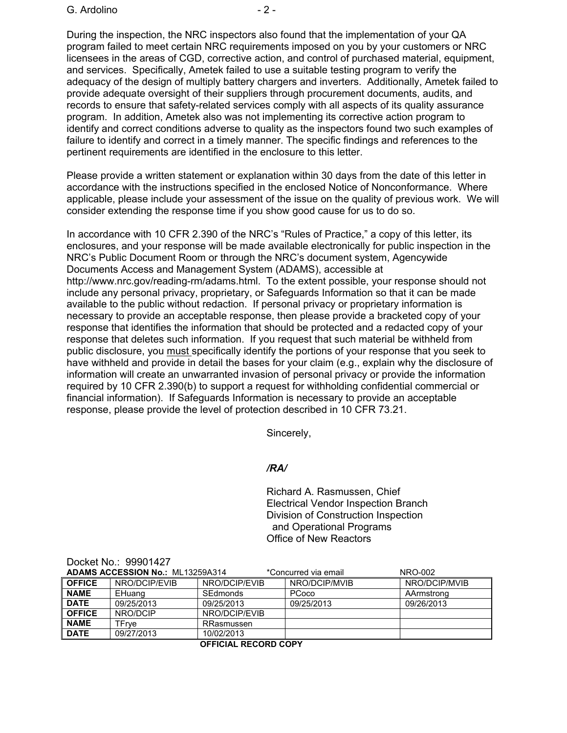During the inspection, the NRC inspectors also found that the implementation of your QA program failed to meet certain NRC requirements imposed on you by your customers or NRC licensees in the areas of CGD, corrective action, and control of purchased material, equipment, and services. Specifically, Ametek failed to use a suitable testing program to verify the adequacy of the design of multiply battery chargers and inverters. Additionally, Ametek failed to provide adequate oversight of their suppliers through procurement documents, audits, and records to ensure that safety-related services comply with all aspects of its quality assurance program. In addition, Ametek also was not implementing its corrective action program to identify and correct conditions adverse to quality as the inspectors found two such examples of failure to identify and correct in a timely manner. The specific findings and references to the pertinent requirements are identified in the enclosure to this letter.

Please provide a written statement or explanation within 30 days from the date of this letter in accordance with the instructions specified in the enclosed Notice of Nonconformance. Where applicable, please include your assessment of the issue on the quality of previous work. We will consider extending the response time if you show good cause for us to do so.

In accordance with 10 CFR 2.390 of the NRC's "Rules of Practice," a copy of this letter, its enclosures, and your response will be made available electronically for public inspection in the NRC's Public Document Room or through the NRC's document system, Agencywide Documents Access and Management System (ADAMS), accessible at http://www.nrc.gov/reading-rm/adams.html. To the extent possible, your response should not include any personal privacy, proprietary, or Safeguards Information so that it can be made available to the public without redaction. If personal privacy or proprietary information is necessary to provide an acceptable response, then please provide a bracketed copy of your response that identifies the information that should be protected and a redacted copy of your response that deletes such information. If you request that such material be withheld from public disclosure, you must specifically identify the portions of your response that you seek to have withheld and provide in detail the bases for your claim (e.g., explain why the disclosure of information will create an unwarranted invasion of personal privacy or provide the information required by 10 CFR 2.390(b) to support a request for withholding confidential commercial or financial information). If Safeguards Information is necessary to provide an acceptable response, please provide the level of protection described in 10 CFR 73.21.

Sincerely,

## */RA/*

Richard A. Rasmussen, Chief Electrical Vendor Inspection Branch Division of Construction Inspection and Operational Programs Office of New Reactors

| <b>ADAMS ACCESSION No.: ML13259A314</b> |               |               | *Concurred via email | NRO-002       |
|-----------------------------------------|---------------|---------------|----------------------|---------------|
| <b>OFFICE</b>                           | NRO/DCIP/EVIB | NRO/DCIP/EVIB | NRO/DCIP/MVIB        | NRO/DCIP/MVIB |
| <b>NAME</b>                             | EHuang        | SEdmonds      | PCoco                | AArmstrong    |
| <b>DATE</b>                             | 09/25/2013    | 09/25/2013    | 09/25/2013           | 09/26/2013    |
| <b>OFFICE</b>                           | NRO/DCIP      | NRO/DCIP/EVIB |                      |               |
| <b>NAME</b>                             | TFrve         | RRasmussen    |                      |               |
| <b>DATE</b>                             | 09/27/2013    | 10/02/2013    |                      |               |
|                                         |               |               |                      |               |

**OFFICIAL RECORD COPY**

Docket No.: 99901427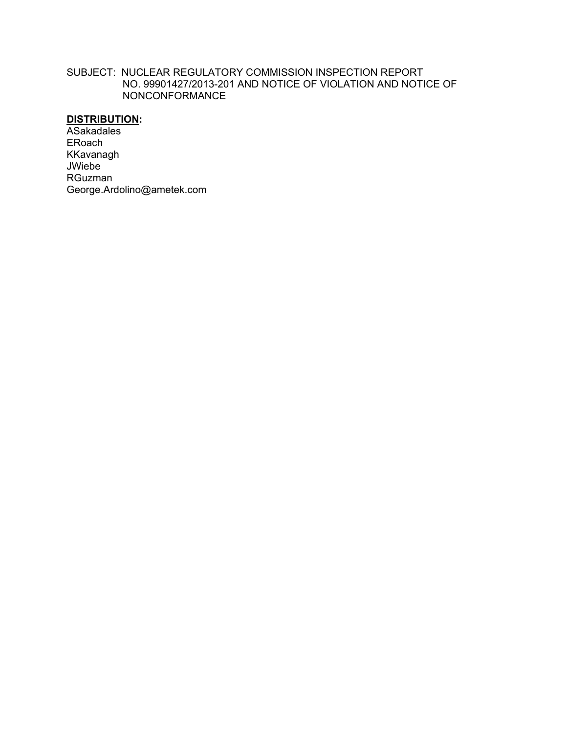### SUBJECT: NUCLEAR REGULATORY COMMISSION INSPECTION REPORT NO. 99901427/2013-201 AND NOTICE OF VIOLATION AND NOTICE OF NONCONFORMANCE

## **DISTRIBUTION:**

**ASakadales** ERoach KKavanagh JWiebe RGuzman George.Ardolino@ametek.com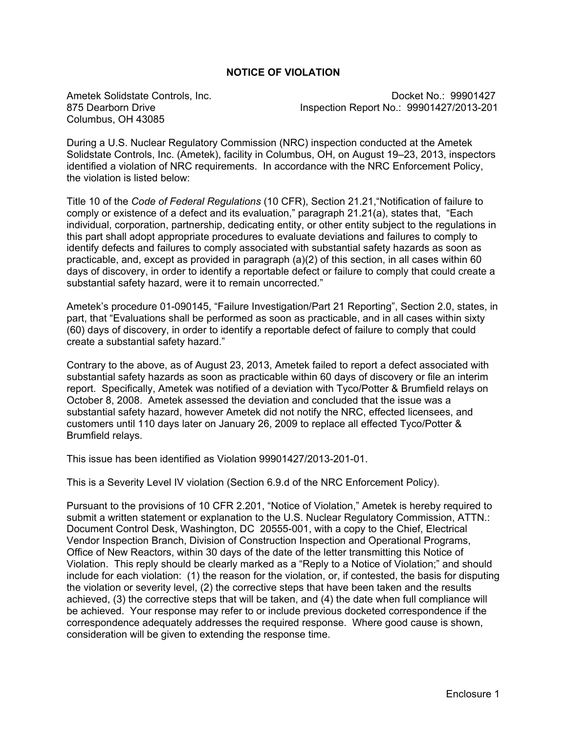## **NOTICE OF VIOLATION**

Columbus, OH 43085

Ametek Solidstate Controls, Inc. Controls, Controls, 2001 No.: 99901427 875 Dearborn Drive Inspection Report No.: 99901427/2013-201

During a U.S. Nuclear Regulatory Commission (NRC) inspection conducted at the Ametek Solidstate Controls, Inc. (Ametek), facility in Columbus, OH, on August 19–23, 2013, inspectors identified a violation of NRC requirements. In accordance with the NRC Enforcement Policy, the violation is listed below:

Title 10 of the *Code of Federal Regulations* (10 CFR), Section 21.21,"Notification of failure to comply or existence of a defect and its evaluation," paragraph 21.21(a), states that, "Each individual, corporation, partnership, dedicating entity, or other entity subject to the regulations in this part shall adopt appropriate procedures to evaluate deviations and failures to comply to identify defects and failures to comply associated with substantial safety hazards as soon as practicable, and, except as provided in paragraph (a)(2) of this section, in all cases within 60 days of discovery, in order to identify a reportable defect or failure to comply that could create a substantial safety hazard, were it to remain uncorrected."

Ametek's procedure 01-090145, "Failure Investigation/Part 21 Reporting", Section 2.0, states, in part, that "Evaluations shall be performed as soon as practicable, and in all cases within sixty (60) days of discovery, in order to identify a reportable defect of failure to comply that could create a substantial safety hazard."

Contrary to the above, as of August 23, 2013, Ametek failed to report a defect associated with substantial safety hazards as soon as practicable within 60 days of discovery or file an interim report. Specifically, Ametek was notified of a deviation with Tyco/Potter & Brumfield relays on October 8, 2008. Ametek assessed the deviation and concluded that the issue was a substantial safety hazard, however Ametek did not notify the NRC, effected licensees, and customers until 110 days later on January 26, 2009 to replace all effected Tyco/Potter & Brumfield relays.

This issue has been identified as Violation 99901427/2013-201-01.

This is a Severity Level IV violation (Section 6.9.d of the NRC Enforcement Policy).

Pursuant to the provisions of 10 CFR 2.201, "Notice of Violation," Ametek is hereby required to submit a written statement or explanation to the U.S. Nuclear Regulatory Commission, ATTN.: Document Control Desk, Washington, DC 20555-001, with a copy to the Chief, Electrical Vendor Inspection Branch, Division of Construction Inspection and Operational Programs, Office of New Reactors, within 30 days of the date of the letter transmitting this Notice of Violation. This reply should be clearly marked as a "Reply to a Notice of Violation;" and should include for each violation: (1) the reason for the violation, or, if contested, the basis for disputing the violation or severity level, (2) the corrective steps that have been taken and the results achieved, (3) the corrective steps that will be taken, and (4) the date when full compliance will be achieved. Your response may refer to or include previous docketed correspondence if the correspondence adequately addresses the required response. Where good cause is shown, consideration will be given to extending the response time.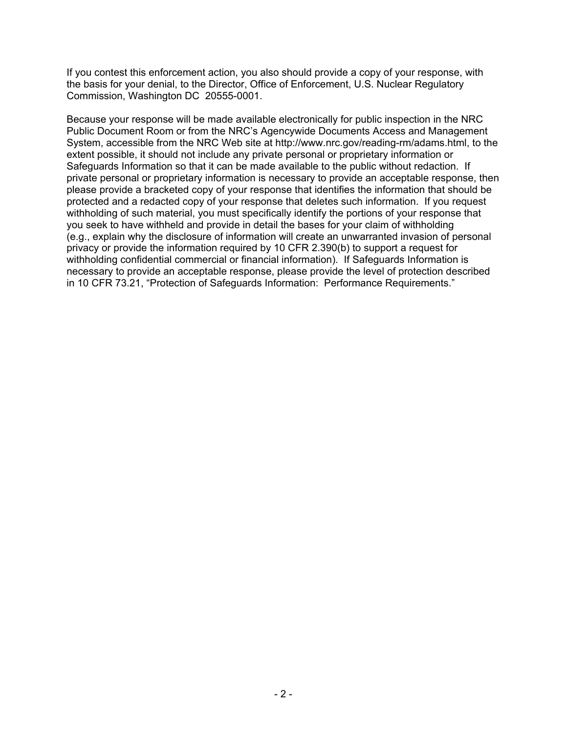If you contest this enforcement action, you also should provide a copy of your response, with the basis for your denial, to the Director, Office of Enforcement, U.S. Nuclear Regulatory Commission, Washington DC 20555-0001.

Because your response will be made available electronically for public inspection in the NRC Public Document Room or from the NRC's Agencywide Documents Access and Management System, accessible from the NRC Web site at http://www.nrc.gov/reading-rm/adams.html, to the extent possible, it should not include any private personal or proprietary information or Safeguards Information so that it can be made available to the public without redaction. If private personal or proprietary information is necessary to provide an acceptable response, then please provide a bracketed copy of your response that identifies the information that should be protected and a redacted copy of your response that deletes such information. If you request withholding of such material, you must specifically identify the portions of your response that you seek to have withheld and provide in detail the bases for your claim of withholding (e.g., explain why the disclosure of information will create an unwarranted invasion of personal privacy or provide the information required by 10 CFR 2.390(b) to support a request for withholding confidential commercial or financial information). If Safeguards Information is necessary to provide an acceptable response, please provide the level of protection described in 10 CFR 73.21, "Protection of Safeguards Information: Performance Requirements."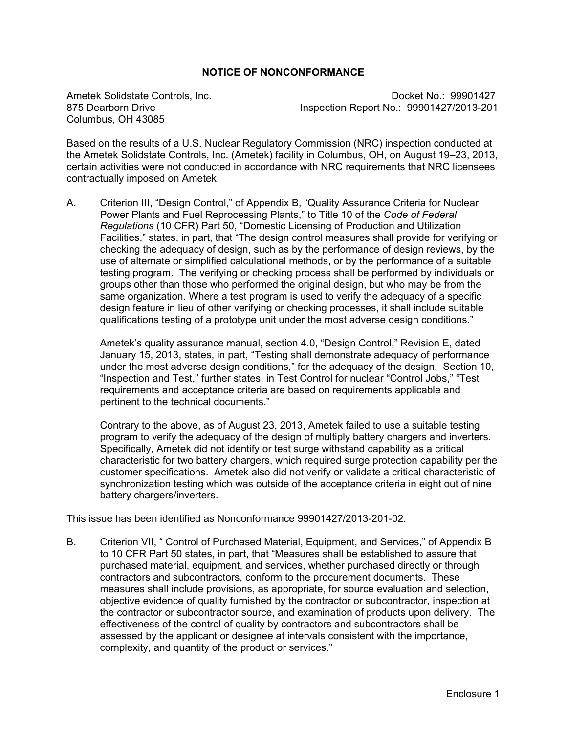## **NOTICE OF NONCONFORMANCE**

Columbus, OH 43085

Ametek Solidstate Controls, Inc. Controls, Controls, 2008. Control of the Docket No.: 99901427 875 Dearborn Drive Inspection Report No.: 99901427/2013-201

Based on the results of a U.S. Nuclear Regulatory Commission (NRC) inspection conducted at the Ametek Solidstate Controls, Inc. (Ametek) facility in Columbus, OH, on August 19–23, 2013, certain activities were not conducted in accordance with NRC requirements that NRC licensees contractually imposed on Ametek:

A. Criterion III, "Design Control," of Appendix B, "Quality Assurance Criteria for Nuclear Power Plants and Fuel Reprocessing Plants," to Title 10 of the *Code of Federal Regulations* (10 CFR) Part 50, "Domestic Licensing of Production and Utilization Facilities," states, in part, that "The design control measures shall provide for verifying or checking the adequacy of design, such as by the performance of design reviews, by the use of alternate or simplified calculational methods, or by the performance of a suitable testing program. The verifying or checking process shall be performed by individuals or groups other than those who performed the original design, but who may be from the same organization. Where a test program is used to verify the adequacy of a specific design feature in lieu of other verifying or checking processes, it shall include suitable qualifications testing of a prototype unit under the most adverse design conditions."

Ametek's quality assurance manual, section 4.0, "Design Control," Revision E, dated January 15, 2013, states, in part, "Testing shall demonstrate adequacy of performance under the most adverse design conditions," for the adequacy of the design. Section 10, "Inspection and Test," further states, in Test Control for nuclear "Control Jobs," "Test requirements and acceptance criteria are based on requirements applicable and pertinent to the technical documents."

Contrary to the above, as of August 23, 2013, Ametek failed to use a suitable testing program to verify the adequacy of the design of multiply battery chargers and inverters. Specifically, Ametek did not identify or test surge withstand capability as a critical characteristic for two battery chargers, which required surge protection capability per the customer specifications. Ametek also did not verify or validate a critical characteristic of synchronization testing which was outside of the acceptance criteria in eight out of nine battery chargers/inverters.

This issue has been identified as Nonconformance 99901427/2013-201-02.

B. Criterion VII, " Control of Purchased Material, Equipment, and Services," of Appendix B to 10 CFR Part 50 states, in part, that "Measures shall be established to assure that purchased material, equipment, and services, whether purchased directly or through contractors and subcontractors, conform to the procurement documents. These measures shall include provisions, as appropriate, for source evaluation and selection, objective evidence of quality furnished by the contractor or subcontractor, inspection at the contractor or subcontractor source, and examination of products upon delivery. The effectiveness of the control of quality by contractors and subcontractors shall be assessed by the applicant or designee at intervals consistent with the importance, complexity, and quantity of the product or services."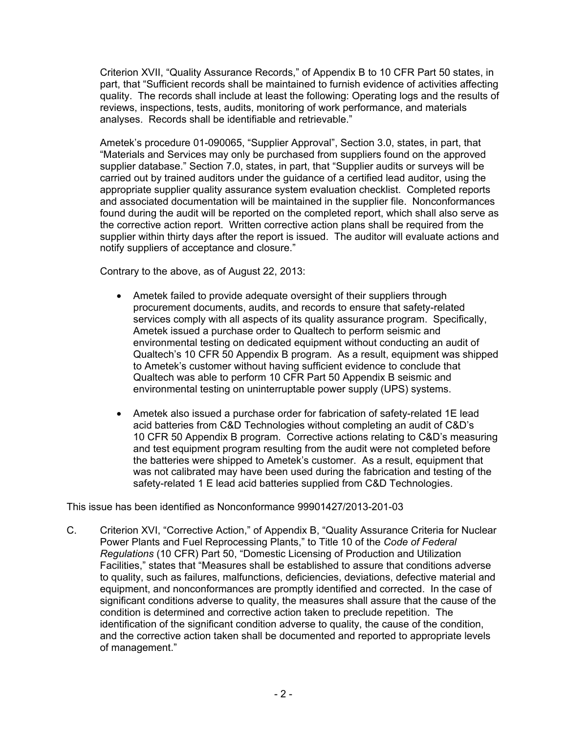Criterion XVII, "Quality Assurance Records," of Appendix B to 10 CFR Part 50 states, in part, that "Sufficient records shall be maintained to furnish evidence of activities affecting quality. The records shall include at least the following: Operating logs and the results of reviews, inspections, tests, audits, monitoring of work performance, and materials analyses. Records shall be identifiable and retrievable."

Ametek's procedure 01-090065, "Supplier Approval", Section 3.0, states, in part, that "Materials and Services may only be purchased from suppliers found on the approved supplier database." Section 7.0, states, in part, that "Supplier audits or surveys will be carried out by trained auditors under the guidance of a certified lead auditor, using the appropriate supplier quality assurance system evaluation checklist. Completed reports and associated documentation will be maintained in the supplier file. Nonconformances found during the audit will be reported on the completed report, which shall also serve as the corrective action report. Written corrective action plans shall be required from the supplier within thirty days after the report is issued. The auditor will evaluate actions and notify suppliers of acceptance and closure."

Contrary to the above, as of August 22, 2013:

- Ametek failed to provide adequate oversight of their suppliers through procurement documents, audits, and records to ensure that safety-related services comply with all aspects of its quality assurance program. Specifically, Ametek issued a purchase order to Qualtech to perform seismic and environmental testing on dedicated equipment without conducting an audit of Qualtech's 10 CFR 50 Appendix B program. As a result, equipment was shipped to Ametek's customer without having sufficient evidence to conclude that Qualtech was able to perform 10 CFR Part 50 Appendix B seismic and environmental testing on uninterruptable power supply (UPS) systems.
- Ametek also issued a purchase order for fabrication of safety-related 1E lead acid batteries from C&D Technologies without completing an audit of C&D's 10 CFR 50 Appendix B program. Corrective actions relating to C&D's measuring and test equipment program resulting from the audit were not completed before the batteries were shipped to Ametek's customer. As a result, equipment that was not calibrated may have been used during the fabrication and testing of the safety-related 1 E lead acid batteries supplied from C&D Technologies.

This issue has been identified as Nonconformance 99901427/2013-201-03

C. Criterion XVI, "Corrective Action," of Appendix B, "Quality Assurance Criteria for Nuclear Power Plants and Fuel Reprocessing Plants," to Title 10 of the *Code of Federal Regulations* (10 CFR) Part 50, "Domestic Licensing of Production and Utilization Facilities," states that "Measures shall be established to assure that conditions adverse to quality, such as failures, malfunctions, deficiencies, deviations, defective material and equipment, and nonconformances are promptly identified and corrected. In the case of significant conditions adverse to quality, the measures shall assure that the cause of the condition is determined and corrective action taken to preclude repetition. The identification of the significant condition adverse to quality, the cause of the condition, and the corrective action taken shall be documented and reported to appropriate levels of management."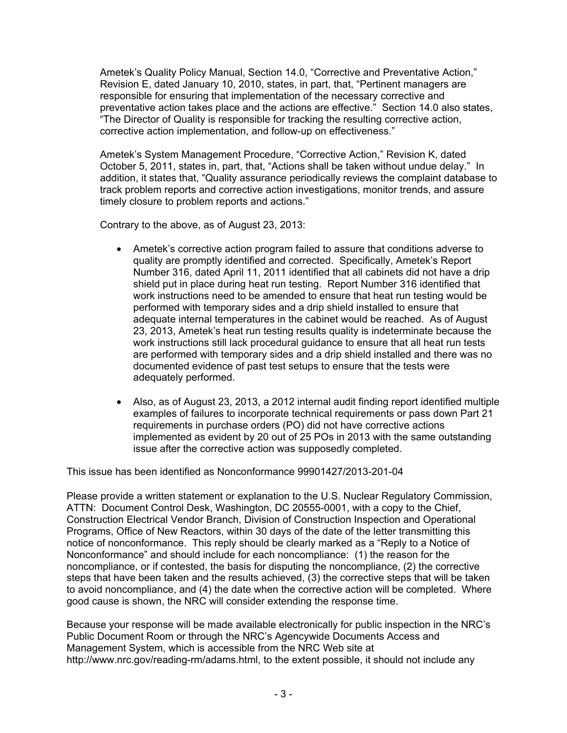Ametek's Quality Policy Manual, Section 14.0, "Corrective and Preventative Action," Revision E, dated January 10, 2010, states, in part, that, "Pertinent managers are responsible for ensuring that implementation of the necessary corrective and preventative action takes place and the actions are effective." Section 14.0 also states, "The Director of Quality is responsible for tracking the resulting corrective action, corrective action implementation, and follow-up on effectiveness."

 Ametek's System Management Procedure, "Corrective Action," Revision K, dated October 5, 2011, states in, part, that, "Actions shall be taken without undue delay." In addition, it states that, "Quality assurance periodically reviews the complaint database to track problem reports and corrective action investigations, monitor trends, and assure timely closure to problem reports and actions."

Contrary to the above, as of August 23, 2013:

- Ametek's corrective action program failed to assure that conditions adverse to quality are promptly identified and corrected. Specifically, Ametek's Report Number 316, dated April 11, 2011 identified that all cabinets did not have a drip shield put in place during heat run testing. Report Number 316 identified that work instructions need to be amended to ensure that heat run testing would be performed with temporary sides and a drip shield installed to ensure that adequate internal temperatures in the cabinet would be reached. As of August 23, 2013, Ametek's heat run testing results quality is indeterminate because the work instructions still lack procedural guidance to ensure that all heat run tests are performed with temporary sides and a drip shield installed and there was no documented evidence of past test setups to ensure that the tests were adequately performed.
- Also, as of August 23, 2013, a 2012 internal audit finding report identified multiple examples of failures to incorporate technical requirements or pass down Part 21 requirements in purchase orders (PO) did not have corrective actions implemented as evident by 20 out of 25 POs in 2013 with the same outstanding issue after the corrective action was supposedly completed.

This issue has been identified as Nonconformance 99901427/2013-201-04

Please provide a written statement or explanation to the U.S. Nuclear Regulatory Commission, ATTN: Document Control Desk, Washington, DC 20555-0001, with a copy to the Chief, Construction Electrical Vendor Branch, Division of Construction Inspection and Operational Programs, Office of New Reactors, within 30 days of the date of the letter transmitting this notice of nonconformance. This reply should be clearly marked as a "Reply to a Notice of Nonconformance" and should include for each noncompliance: (1) the reason for the noncompliance, or if contested, the basis for disputing the noncompliance, (2) the corrective steps that have been taken and the results achieved, (3) the corrective steps that will be taken to avoid noncompliance, and (4) the date when the corrective action will be completed. Where good cause is shown, the NRC will consider extending the response time.

Because your response will be made available electronically for public inspection in the NRC's Public Document Room or through the NRC's Agencywide Documents Access and Management System, which is accessible from the NRC Web site at http://www.nrc.gov/reading-rm/adams.html, to the extent possible, it should not include any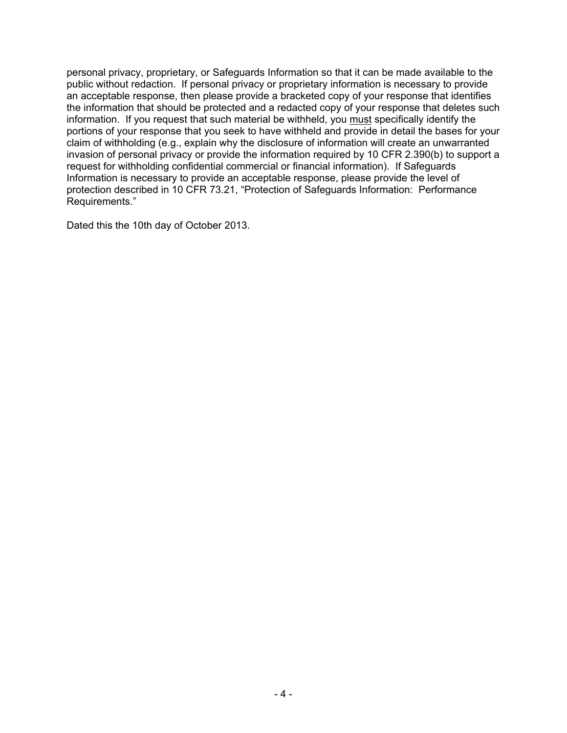personal privacy, proprietary, or Safeguards Information so that it can be made available to the public without redaction. If personal privacy or proprietary information is necessary to provide an acceptable response, then please provide a bracketed copy of your response that identifies the information that should be protected and a redacted copy of your response that deletes such information. If you request that such material be withheld, you must specifically identify the portions of your response that you seek to have withheld and provide in detail the bases for your claim of withholding (e.g., explain why the disclosure of information will create an unwarranted invasion of personal privacy or provide the information required by 10 CFR 2.390(b) to support a request for withholding confidential commercial or financial information). If Safeguards Information is necessary to provide an acceptable response, please provide the level of protection described in 10 CFR 73.21, "Protection of Safeguards Information: Performance Requirements."

Dated this the 10th day of October 2013.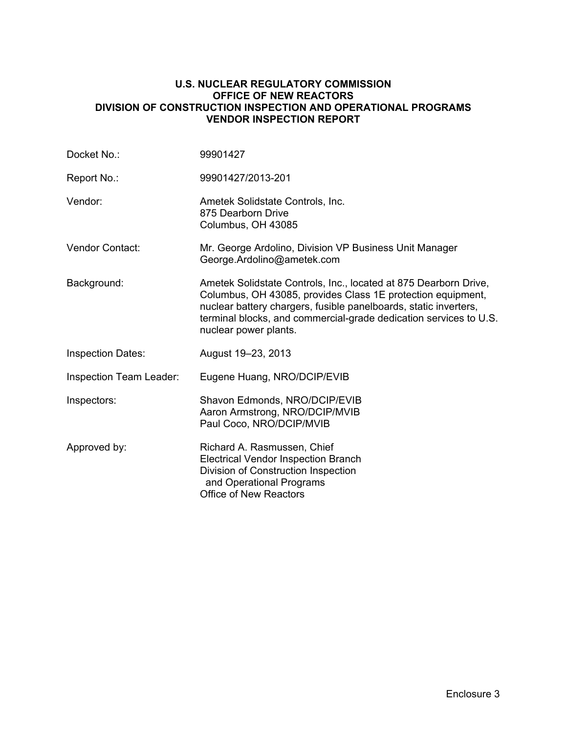### **U.S. NUCLEAR REGULATORY COMMISSION OFFICE OF NEW REACTORS DIVISION OF CONSTRUCTION INSPECTION AND OPERATIONAL PROGRAMS VENDOR INSPECTION REPORT**

| Docket No.:              | 99901427                                                                                                                                                                                                                                                                                          |
|--------------------------|---------------------------------------------------------------------------------------------------------------------------------------------------------------------------------------------------------------------------------------------------------------------------------------------------|
| Report No.:              | 99901427/2013-201                                                                                                                                                                                                                                                                                 |
| Vendor:                  | Ametek Solidstate Controls, Inc.<br>875 Dearborn Drive<br>Columbus, OH 43085                                                                                                                                                                                                                      |
| <b>Vendor Contact:</b>   | Mr. George Ardolino, Division VP Business Unit Manager<br>George.Ardolino@ametek.com                                                                                                                                                                                                              |
| Background:              | Ametek Solidstate Controls, Inc., located at 875 Dearborn Drive,<br>Columbus, OH 43085, provides Class 1E protection equipment,<br>nuclear battery chargers, fusible panelboards, static inverters,<br>terminal blocks, and commercial-grade dedication services to U.S.<br>nuclear power plants. |
| <b>Inspection Dates:</b> | August 19-23, 2013                                                                                                                                                                                                                                                                                |
| Inspection Team Leader:  | Eugene Huang, NRO/DCIP/EVIB                                                                                                                                                                                                                                                                       |
| Inspectors:              | Shavon Edmonds, NRO/DCIP/EVIB<br>Aaron Armstrong, NRO/DCIP/MVIB<br>Paul Coco, NRO/DCIP/MVIB                                                                                                                                                                                                       |
| Approved by:             | Richard A. Rasmussen, Chief<br><b>Electrical Vendor Inspection Branch</b><br>Division of Construction Inspection<br>and Operational Programs<br><b>Office of New Reactors</b>                                                                                                                     |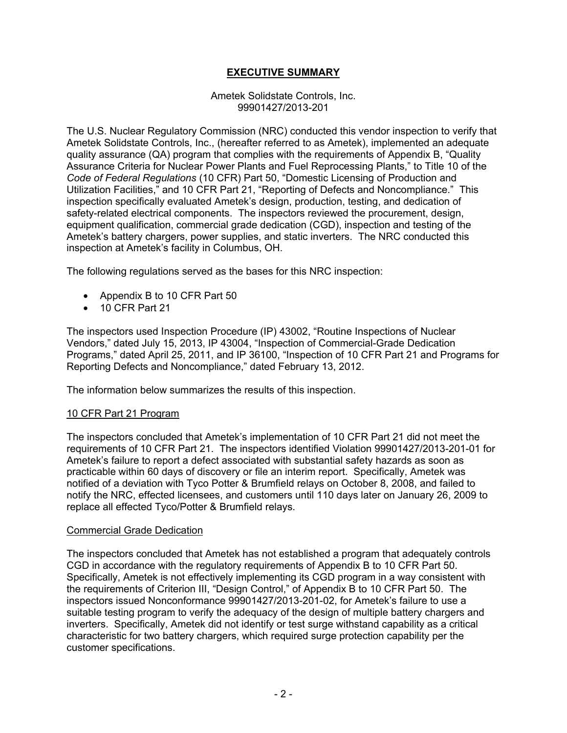## **EXECUTIVE SUMMARY**

#### Ametek Solidstate Controls, Inc. 99901427/2013-201

The U.S. Nuclear Regulatory Commission (NRC) conducted this vendor inspection to verify that Ametek Solidstate Controls, Inc., (hereafter referred to as Ametek), implemented an adequate quality assurance (QA) program that complies with the requirements of Appendix B, "Quality Assurance Criteria for Nuclear Power Plants and Fuel Reprocessing Plants," to Title 10 of the *Code of Federal Regulations* (10 CFR) Part 50, "Domestic Licensing of Production and Utilization Facilities," and 10 CFR Part 21, "Reporting of Defects and Noncompliance." This inspection specifically evaluated Ametek's design, production, testing, and dedication of safety-related electrical components. The inspectors reviewed the procurement, design, equipment qualification, commercial grade dedication (CGD), inspection and testing of the Ametek's battery chargers, power supplies, and static inverters. The NRC conducted this inspection at Ametek's facility in Columbus, OH.

The following regulations served as the bases for this NRC inspection:

- Appendix B to 10 CFR Part 50
- 10 CFR Part 21

The inspectors used Inspection Procedure (IP) 43002, "Routine Inspections of Nuclear Vendors," dated July 15, 2013, IP 43004, "Inspection of Commercial-Grade Dedication Programs," dated April 25, 2011, and IP 36100, "Inspection of 10 CFR Part 21 and Programs for Reporting Defects and Noncompliance," dated February 13, 2012.

The information below summarizes the results of this inspection.

## 10 CFR Part 21 Program

The inspectors concluded that Ametek's implementation of 10 CFR Part 21 did not meet the requirements of 10 CFR Part 21. The inspectors identified Violation 99901427/2013-201-01 for Ametek's failure to report a defect associated with substantial safety hazards as soon as practicable within 60 days of discovery or file an interim report. Specifically, Ametek was notified of a deviation with Tyco Potter & Brumfield relays on October 8, 2008, and failed to notify the NRC, effected licensees, and customers until 110 days later on January 26, 2009 to replace all effected Tyco/Potter & Brumfield relays.

## Commercial Grade Dedication

The inspectors concluded that Ametek has not established a program that adequately controls CGD in accordance with the regulatory requirements of Appendix B to 10 CFR Part 50. Specifically, Ametek is not effectively implementing its CGD program in a way consistent with the requirements of Criterion III, "Design Control," of Appendix B to 10 CFR Part 50. The inspectors issued Nonconformance 99901427/2013-201-02, for Ametek's failure to use a suitable testing program to verify the adequacy of the design of multiple battery chargers and inverters. Specifically, Ametek did not identify or test surge withstand capability as a critical characteristic for two battery chargers, which required surge protection capability per the customer specifications.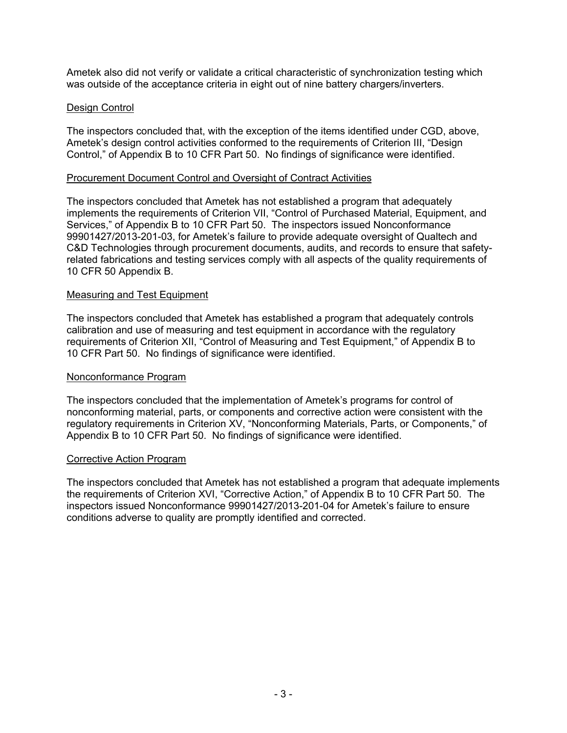Ametek also did not verify or validate a critical characteristic of synchronization testing which was outside of the acceptance criteria in eight out of nine battery chargers/inverters.

## Design Control

The inspectors concluded that, with the exception of the items identified under CGD, above, Ametek's design control activities conformed to the requirements of Criterion III, "Design Control," of Appendix B to 10 CFR Part 50. No findings of significance were identified.

#### Procurement Document Control and Oversight of Contract Activities

The inspectors concluded that Ametek has not established a program that adequately implements the requirements of Criterion VII, "Control of Purchased Material, Equipment, and Services," of Appendix B to 10 CFR Part 50. The inspectors issued Nonconformance 99901427/2013-201-03, for Ametek's failure to provide adequate oversight of Qualtech and C&D Technologies through procurement documents, audits, and records to ensure that safetyrelated fabrications and testing services comply with all aspects of the quality requirements of 10 CFR 50 Appendix B.

#### Measuring and Test Equipment

The inspectors concluded that Ametek has established a program that adequately controls calibration and use of measuring and test equipment in accordance with the regulatory requirements of Criterion XII, "Control of Measuring and Test Equipment," of Appendix B to 10 CFR Part 50. No findings of significance were identified.

#### Nonconformance Program

The inspectors concluded that the implementation of Ametek's programs for control of nonconforming material, parts, or components and corrective action were consistent with the regulatory requirements in Criterion XV, "Nonconforming Materials, Parts, or Components," of Appendix B to 10 CFR Part 50. No findings of significance were identified.

#### Corrective Action Program

The inspectors concluded that Ametek has not established a program that adequate implements the requirements of Criterion XVI, "Corrective Action," of Appendix B to 10 CFR Part 50. The inspectors issued Nonconformance 99901427/2013-201-04 for Ametek's failure to ensure conditions adverse to quality are promptly identified and corrected.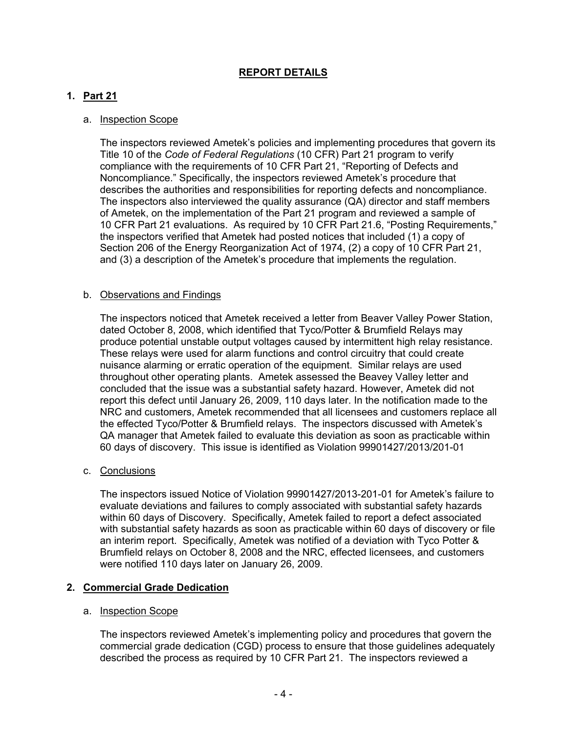## **REPORT DETAILS**

## **1. Part 21**

#### a. Inspection Scope

The inspectors reviewed Ametek's policies and implementing procedures that govern its Title 10 of the *Code of Federal Regulations* (10 CFR) Part 21 program to verify compliance with the requirements of 10 CFR Part 21, "Reporting of Defects and Noncompliance." Specifically, the inspectors reviewed Ametek's procedure that describes the authorities and responsibilities for reporting defects and noncompliance. The inspectors also interviewed the quality assurance (QA) director and staff members of Ametek, on the implementation of the Part 21 program and reviewed a sample of 10 CFR Part 21 evaluations. As required by 10 CFR Part 21.6, "Posting Requirements," the inspectors verified that Ametek had posted notices that included (1) a copy of Section 206 of the Energy Reorganization Act of 1974, (2) a copy of 10 CFR Part 21, and (3) a description of the Ametek's procedure that implements the regulation.

#### b. Observations and Findings

The inspectors noticed that Ametek received a letter from Beaver Valley Power Station, dated October 8, 2008, which identified that Tyco/Potter & Brumfield Relays may produce potential unstable output voltages caused by intermittent high relay resistance. These relays were used for alarm functions and control circuitry that could create nuisance alarming or erratic operation of the equipment. Similar relays are used throughout other operating plants. Ametek assessed the Beavey Valley letter and concluded that the issue was a substantial safety hazard. However, Ametek did not report this defect until January 26, 2009, 110 days later. In the notification made to the NRC and customers, Ametek recommended that all licensees and customers replace all the effected Tyco/Potter & Brumfield relays. The inspectors discussed with Ametek's QA manager that Ametek failed to evaluate this deviation as soon as practicable within 60 days of discovery. This issue is identified as Violation 99901427/2013/201-01

#### c. Conclusions

The inspectors issued Notice of Violation 99901427/2013-201-01 for Ametek's failure to evaluate deviations and failures to comply associated with substantial safety hazards within 60 days of Discovery. Specifically, Ametek failed to report a defect associated with substantial safety hazards as soon as practicable within 60 days of discovery or file an interim report. Specifically, Ametek was notified of a deviation with Tyco Potter & Brumfield relays on October 8, 2008 and the NRC, effected licensees, and customers were notified 110 days later on January 26, 2009.

## **2. Commercial Grade Dedication**

#### a. Inspection Scope

The inspectors reviewed Ametek's implementing policy and procedures that govern the commercial grade dedication (CGD) process to ensure that those guidelines adequately described the process as required by 10 CFR Part 21. The inspectors reviewed a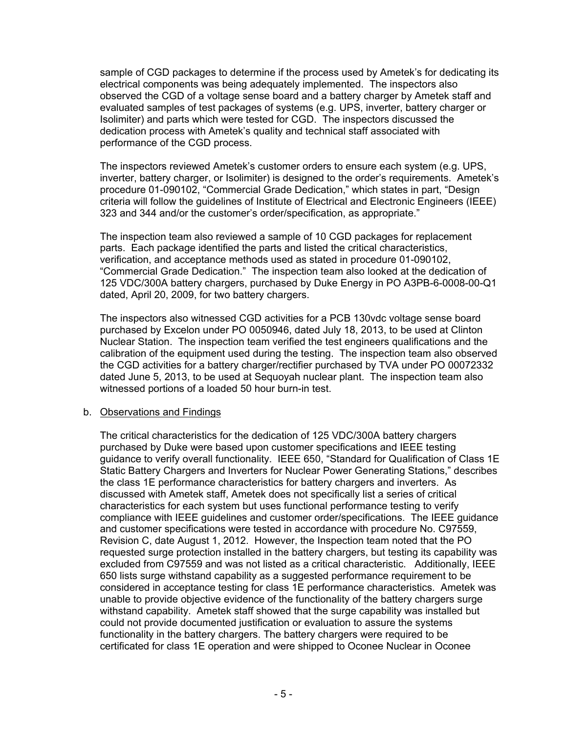sample of CGD packages to determine if the process used by Ametek's for dedicating its electrical components was being adequately implemented. The inspectors also observed the CGD of a voltage sense board and a battery charger by Ametek staff and evaluated samples of test packages of systems (e.g. UPS, inverter, battery charger or Isolimiter) and parts which were tested for CGD. The inspectors discussed the dedication process with Ametek's quality and technical staff associated with performance of the CGD process.

The inspectors reviewed Ametek's customer orders to ensure each system (e.g. UPS, inverter, battery charger, or Isolimiter) is designed to the order's requirements. Ametek's procedure 01-090102, "Commercial Grade Dedication," which states in part, "Design criteria will follow the guidelines of Institute of Electrical and Electronic Engineers (IEEE) 323 and 344 and/or the customer's order/specification, as appropriate."

The inspection team also reviewed a sample of 10 CGD packages for replacement parts. Each package identified the parts and listed the critical characteristics, verification, and acceptance methods used as stated in procedure 01-090102, "Commercial Grade Dedication." The inspection team also looked at the dedication of 125 VDC/300A battery chargers, purchased by Duke Energy in PO A3PB-6-0008-00-Q1 dated, April 20, 2009, for two battery chargers.

The inspectors also witnessed CGD activities for a PCB 130vdc voltage sense board purchased by Excelon under PO 0050946, dated July 18, 2013, to be used at Clinton Nuclear Station. The inspection team verified the test engineers qualifications and the calibration of the equipment used during the testing. The inspection team also observed the CGD activities for a battery charger/rectifier purchased by TVA under PO 00072332 dated June 5, 2013, to be used at Sequoyah nuclear plant. The inspection team also witnessed portions of a loaded 50 hour burn-in test.

## b. Observations and Findings

The critical characteristics for the dedication of 125 VDC/300A battery chargers purchased by Duke were based upon customer specifications and IEEE testing guidance to verify overall functionality. IEEE 650, "Standard for Qualification of Class 1E Static Battery Chargers and Inverters for Nuclear Power Generating Stations," describes the class 1E performance characteristics for battery chargers and inverters. As discussed with Ametek staff, Ametek does not specifically list a series of critical characteristics for each system but uses functional performance testing to verify compliance with IEEE guidelines and customer order/specifications. The IEEE guidance and customer specifications were tested in accordance with procedure No. C97559, Revision C, date August 1, 2012. However, the Inspection team noted that the PO requested surge protection installed in the battery chargers, but testing its capability was excluded from C97559 and was not listed as a critical characteristic. Additionally, IEEE 650 lists surge withstand capability as a suggested performance requirement to be considered in acceptance testing for class 1E performance characteristics. Ametek was unable to provide objective evidence of the functionality of the battery chargers surge withstand capability. Ametek staff showed that the surge capability was installed but could not provide documented justification or evaluation to assure the systems functionality in the battery chargers. The battery chargers were required to be certificated for class 1E operation and were shipped to Oconee Nuclear in Oconee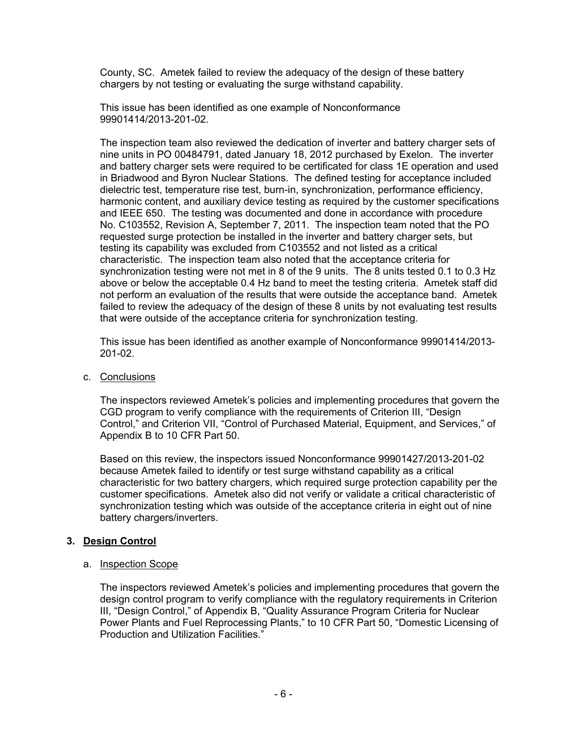County, SC. Ametek failed to review the adequacy of the design of these battery chargers by not testing or evaluating the surge withstand capability.

This issue has been identified as one example of Nonconformance 99901414/2013-201-02.

The inspection team also reviewed the dedication of inverter and battery charger sets of nine units in PO 00484791, dated January 18, 2012 purchased by Exelon. The inverter and battery charger sets were required to be certificated for class 1E operation and used in Briadwood and Byron Nuclear Stations. The defined testing for acceptance included dielectric test, temperature rise test, burn-in, synchronization, performance efficiency, harmonic content, and auxiliary device testing as required by the customer specifications and IEEE 650. The testing was documented and done in accordance with procedure No. C103552, Revision A, September 7, 2011. The inspection team noted that the PO requested surge protection be installed in the inverter and battery charger sets, but testing its capability was excluded from C103552 and not listed as a critical characteristic. The inspection team also noted that the acceptance criteria for synchronization testing were not met in 8 of the 9 units. The 8 units tested 0.1 to 0.3 Hz above or below the acceptable 0.4 Hz band to meet the testing criteria. Ametek staff did not perform an evaluation of the results that were outside the acceptance band. Ametek failed to review the adequacy of the design of these 8 units by not evaluating test results that were outside of the acceptance criteria for synchronization testing.

This issue has been identified as another example of Nonconformance 99901414/2013- 201-02.

c. Conclusions

The inspectors reviewed Ametek's policies and implementing procedures that govern the CGD program to verify compliance with the requirements of Criterion III, "Design Control," and Criterion VII, "Control of Purchased Material, Equipment, and Services," of Appendix B to 10 CFR Part 50.

Based on this review, the inspectors issued Nonconformance 99901427/2013-201-02 because Ametek failed to identify or test surge withstand capability as a critical characteristic for two battery chargers, which required surge protection capability per the customer specifications. Ametek also did not verify or validate a critical characteristic of synchronization testing which was outside of the acceptance criteria in eight out of nine battery chargers/inverters.

## **3. Design Control**

## a. Inspection Scope

The inspectors reviewed Ametek's policies and implementing procedures that govern the design control program to verify compliance with the regulatory requirements in Criterion III, "Design Control," of Appendix B, "Quality Assurance Program Criteria for Nuclear Power Plants and Fuel Reprocessing Plants," to 10 CFR Part 50, "Domestic Licensing of Production and Utilization Facilities."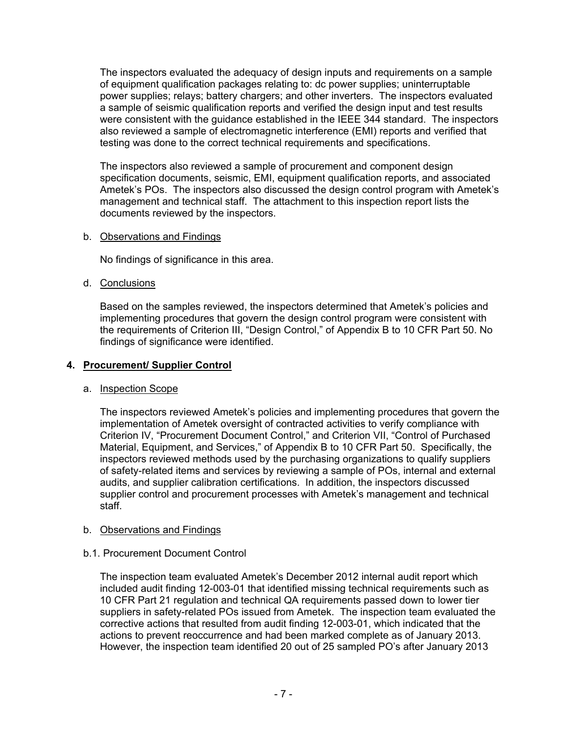The inspectors evaluated the adequacy of design inputs and requirements on a sample of equipment qualification packages relating to: dc power supplies; uninterruptable power supplies; relays; battery chargers; and other inverters. The inspectors evaluated a sample of seismic qualification reports and verified the design input and test results were consistent with the guidance established in the IEEE 344 standard. The inspectors also reviewed a sample of electromagnetic interference (EMI) reports and verified that testing was done to the correct technical requirements and specifications.

The inspectors also reviewed a sample of procurement and component design specification documents, seismic, EMI, equipment qualification reports, and associated Ametek's POs. The inspectors also discussed the design control program with Ametek's management and technical staff. The attachment to this inspection report lists the documents reviewed by the inspectors.

## b. Observations and Findings

No findings of significance in this area.

## d. Conclusions

Based on the samples reviewed, the inspectors determined that Ametek's policies and implementing procedures that govern the design control program were consistent with the requirements of Criterion III, "Design Control," of Appendix B to 10 CFR Part 50. No findings of significance were identified.

## **4. Procurement/ Supplier Control**

## a. Inspection Scope

The inspectors reviewed Ametek's policies and implementing procedures that govern the implementation of Ametek oversight of contracted activities to verify compliance with Criterion IV, "Procurement Document Control," and Criterion VII, "Control of Purchased Material, Equipment, and Services," of Appendix B to 10 CFR Part 50. Specifically, the inspectors reviewed methods used by the purchasing organizations to qualify suppliers of safety-related items and services by reviewing a sample of POs, internal and external audits, and supplier calibration certifications. In addition, the inspectors discussed supplier control and procurement processes with Ametek's management and technical staff.

## b. Observations and Findings

## b.1. Procurement Document Control

The inspection team evaluated Ametek's December 2012 internal audit report which included audit finding 12-003-01 that identified missing technical requirements such as 10 CFR Part 21 regulation and technical QA requirements passed down to lower tier suppliers in safety-related POs issued from Ametek. The inspection team evaluated the corrective actions that resulted from audit finding 12-003-01, which indicated that the actions to prevent reoccurrence and had been marked complete as of January 2013. However, the inspection team identified 20 out of 25 sampled PO's after January 2013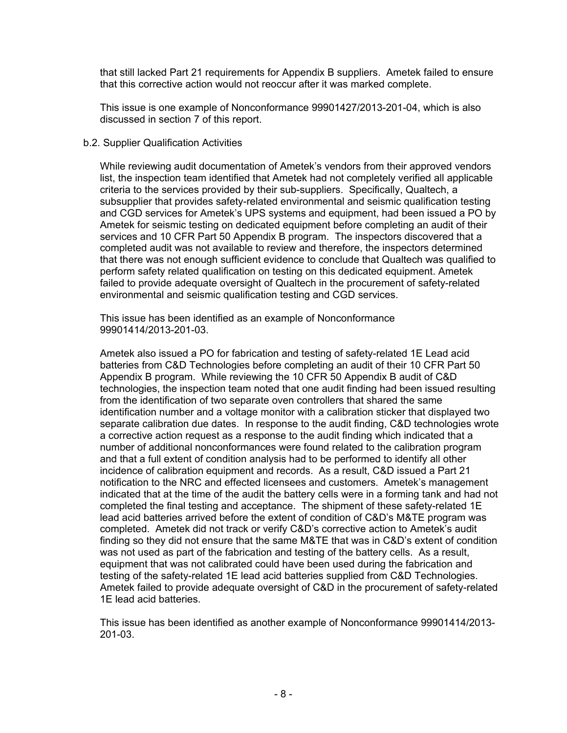that still lacked Part 21 requirements for Appendix B suppliers. Ametek failed to ensure that this corrective action would not reoccur after it was marked complete.

This issue is one example of Nonconformance 99901427/2013-201-04, which is also discussed in section 7 of this report.

#### b.2. Supplier Qualification Activities

While reviewing audit documentation of Ametek's vendors from their approved vendors list, the inspection team identified that Ametek had not completely verified all applicable criteria to the services provided by their sub-suppliers. Specifically, Qualtech, a subsupplier that provides safety-related environmental and seismic qualification testing and CGD services for Ametek's UPS systems and equipment, had been issued a PO by Ametek for seismic testing on dedicated equipment before completing an audit of their services and 10 CFR Part 50 Appendix B program. The inspectors discovered that a completed audit was not available to review and therefore, the inspectors determined that there was not enough sufficient evidence to conclude that Qualtech was qualified to perform safety related qualification on testing on this dedicated equipment. Ametek failed to provide adequate oversight of Qualtech in the procurement of safety-related environmental and seismic qualification testing and CGD services.

This issue has been identified as an example of Nonconformance 99901414/2013-201-03.

Ametek also issued a PO for fabrication and testing of safety-related 1E Lead acid batteries from C&D Technologies before completing an audit of their 10 CFR Part 50 Appendix B program. While reviewing the 10 CFR 50 Appendix B audit of C&D technologies, the inspection team noted that one audit finding had been issued resulting from the identification of two separate oven controllers that shared the same identification number and a voltage monitor with a calibration sticker that displayed two separate calibration due dates. In response to the audit finding, C&D technologies wrote a corrective action request as a response to the audit finding which indicated that a number of additional nonconformances were found related to the calibration program and that a full extent of condition analysis had to be performed to identify all other incidence of calibration equipment and records. As a result, C&D issued a Part 21 notification to the NRC and effected licensees and customers. Ametek's management indicated that at the time of the audit the battery cells were in a forming tank and had not completed the final testing and acceptance. The shipment of these safety-related 1E lead acid batteries arrived before the extent of condition of C&D's M&TE program was completed. Ametek did not track or verify C&D's corrective action to Ametek's audit finding so they did not ensure that the same M&TE that was in C&D's extent of condition was not used as part of the fabrication and testing of the battery cells. As a result, equipment that was not calibrated could have been used during the fabrication and testing of the safety-related 1E lead acid batteries supplied from C&D Technologies. Ametek failed to provide adequate oversight of C&D in the procurement of safety-related 1E lead acid batteries.

This issue has been identified as another example of Nonconformance 99901414/2013- 201-03.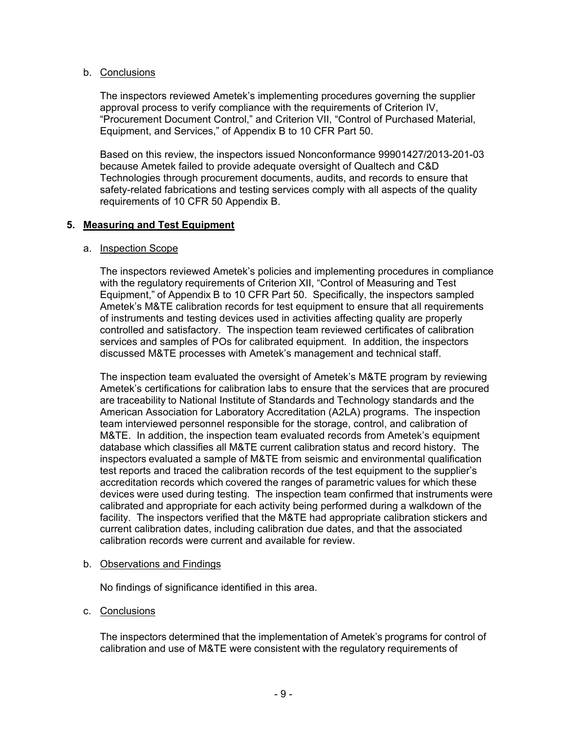## b. Conclusions

The inspectors reviewed Ametek's implementing procedures governing the supplier approval process to verify compliance with the requirements of Criterion IV, "Procurement Document Control," and Criterion VII, "Control of Purchased Material, Equipment, and Services," of Appendix B to 10 CFR Part 50.

Based on this review, the inspectors issued Nonconformance 99901427/2013-201-03 because Ametek failed to provide adequate oversight of Qualtech and C&D Technologies through procurement documents, audits, and records to ensure that safety-related fabrications and testing services comply with all aspects of the quality requirements of 10 CFR 50 Appendix B.

#### **5. Measuring and Test Equipment**

#### a. Inspection Scope

The inspectors reviewed Ametek's policies and implementing procedures in compliance with the regulatory requirements of Criterion XII, "Control of Measuring and Test Equipment," of Appendix B to 10 CFR Part 50. Specifically, the inspectors sampled Ametek's M&TE calibration records for test equipment to ensure that all requirements of instruments and testing devices used in activities affecting quality are properly controlled and satisfactory. The inspection team reviewed certificates of calibration services and samples of POs for calibrated equipment. In addition, the inspectors discussed M&TE processes with Ametek's management and technical staff.

The inspection team evaluated the oversight of Ametek's M&TE program by reviewing Ametek's certifications for calibration labs to ensure that the services that are procured are traceability to National Institute of Standards and Technology standards and the American Association for Laboratory Accreditation (A2LA) programs. The inspection team interviewed personnel responsible for the storage, control, and calibration of M&TE. In addition, the inspection team evaluated records from Ametek's equipment database which classifies all M&TE current calibration status and record history. The inspectors evaluated a sample of M&TE from seismic and environmental qualification test reports and traced the calibration records of the test equipment to the supplier's accreditation records which covered the ranges of parametric values for which these devices were used during testing. The inspection team confirmed that instruments were calibrated and appropriate for each activity being performed during a walkdown of the facility. The inspectors verified that the M&TE had appropriate calibration stickers and current calibration dates, including calibration due dates, and that the associated calibration records were current and available for review.

#### b. Observations and Findings

No findings of significance identified in this area.

## c. Conclusions

The inspectors determined that the implementation of Ametek's programs for control of calibration and use of M&TE were consistent with the regulatory requirements of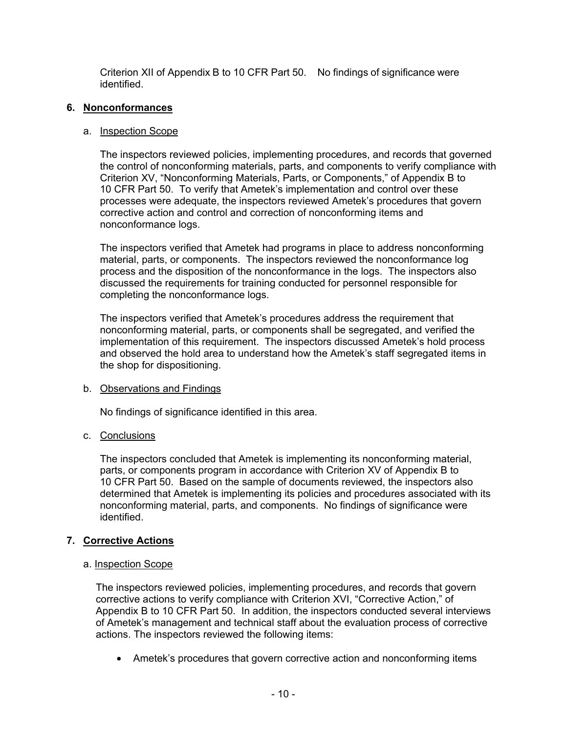Criterion XII of Appendix B to 10 CFR Part 50. No findings of significance were identified.

## **6. Nonconformances**

## a. Inspection Scope

The inspectors reviewed policies, implementing procedures, and records that governed the control of nonconforming materials, parts, and components to verify compliance with Criterion XV, "Nonconforming Materials, Parts, or Components," of Appendix B to 10 CFR Part 50. To verify that Ametek's implementation and control over these processes were adequate, the inspectors reviewed Ametek's procedures that govern corrective action and control and correction of nonconforming items and nonconformance logs.

The inspectors verified that Ametek had programs in place to address nonconforming material, parts, or components. The inspectors reviewed the nonconformance log process and the disposition of the nonconformance in the logs. The inspectors also discussed the requirements for training conducted for personnel responsible for completing the nonconformance logs.

The inspectors verified that Ametek's procedures address the requirement that nonconforming material, parts, or components shall be segregated, and verified the implementation of this requirement. The inspectors discussed Ametek's hold process and observed the hold area to understand how the Ametek's staff segregated items in the shop for dispositioning.

## b. Observations and Findings

No findings of significance identified in this area.

## c. Conclusions

The inspectors concluded that Ametek is implementing its nonconforming material, parts, or components program in accordance with Criterion XV of Appendix B to 10 CFR Part 50. Based on the sample of documents reviewed, the inspectors also determined that Ametek is implementing its policies and procedures associated with its nonconforming material, parts, and components. No findings of significance were identified.

## **7. Corrective Actions**

## a. Inspection Scope

The inspectors reviewed policies, implementing procedures, and records that govern corrective actions to verify compliance with Criterion XVI, "Corrective Action," of Appendix B to 10 CFR Part 50. In addition, the inspectors conducted several interviews of Ametek's management and technical staff about the evaluation process of corrective actions. The inspectors reviewed the following items:

• Ametek's procedures that govern corrective action and nonconforming items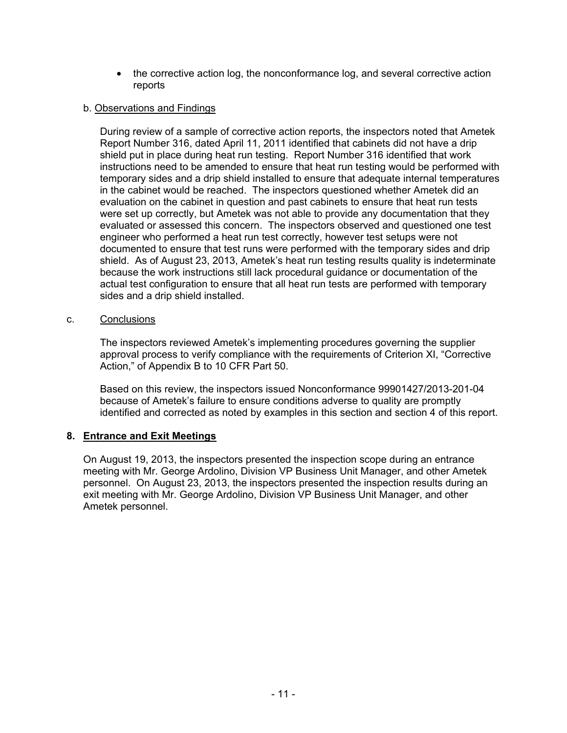• the corrective action log, the nonconformance log, and several corrective action reports

#### b. Observations and Findings

 During review of a sample of corrective action reports, the inspectors noted that Ametek Report Number 316, dated April 11, 2011 identified that cabinets did not have a drip shield put in place during heat run testing. Report Number 316 identified that work instructions need to be amended to ensure that heat run testing would be performed with temporary sides and a drip shield installed to ensure that adequate internal temperatures in the cabinet would be reached. The inspectors questioned whether Ametek did an evaluation on the cabinet in question and past cabinets to ensure that heat run tests were set up correctly, but Ametek was not able to provide any documentation that they evaluated or assessed this concern. The inspectors observed and questioned one test engineer who performed a heat run test correctly, however test setups were not documented to ensure that test runs were performed with the temporary sides and drip shield. As of August 23, 2013, Ametek's heat run testing results quality is indeterminate because the work instructions still lack procedural guidance or documentation of the actual test configuration to ensure that all heat run tests are performed with temporary sides and a drip shield installed.

#### c. Conclusions

The inspectors reviewed Ametek's implementing procedures governing the supplier approval process to verify compliance with the requirements of Criterion XI, "Corrective Action," of Appendix B to 10 CFR Part 50.

Based on this review, the inspectors issued Nonconformance 99901427/2013-201-04 because of Ametek's failure to ensure conditions adverse to quality are promptly identified and corrected as noted by examples in this section and section 4 of this report.

## **8. Entrance and Exit Meetings**

On August 19, 2013, the inspectors presented the inspection scope during an entrance meeting with Mr. George Ardolino, Division VP Business Unit Manager, and other Ametek personnel. On August 23, 2013, the inspectors presented the inspection results during an exit meeting with Mr. George Ardolino, Division VP Business Unit Manager, and other Ametek personnel.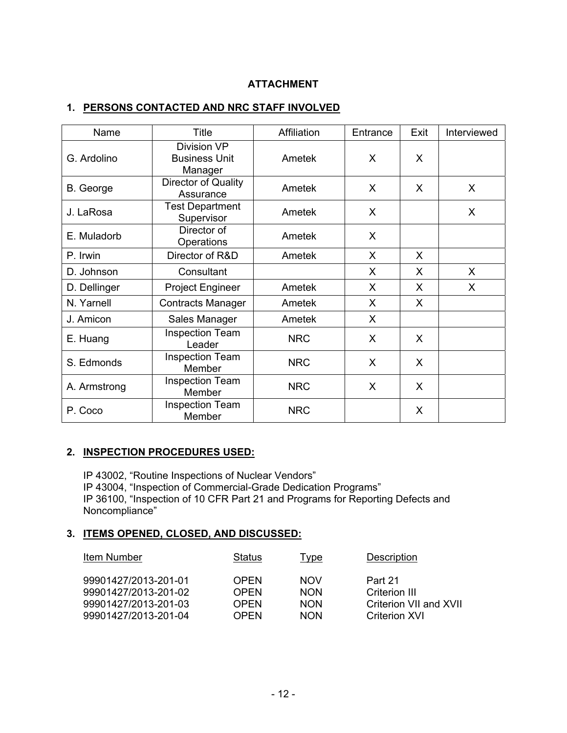## **ATTACHMENT**

## **1. PERSONS CONTACTED AND NRC STAFF INVOLVED**

| Name         | <b>Title</b>                                   | Affiliation | Entrance | Exit | Interviewed |
|--------------|------------------------------------------------|-------------|----------|------|-------------|
| G. Ardolino  | Division VP<br><b>Business Unit</b><br>Manager | Ametek      | X        | X    |             |
| B. George    | Director of Quality<br>Assurance               | Ametek      | X        | X    | X           |
| J. LaRosa    | <b>Test Department</b><br>Supervisor           | Ametek      | X        |      | X           |
| E. Muladorb  | Director of<br>Operations                      | Ametek      | X        |      |             |
| P. Irwin     | Director of R&D                                | Ametek      | X        | X    |             |
| D. Johnson   | Consultant                                     |             | X        | X    | X           |
| D. Dellinger | <b>Project Engineer</b>                        | Ametek      | X        | X    | X           |
| N. Yarnell   | <b>Contracts Manager</b>                       | Ametek      | X        | X    |             |
| J. Amicon    | Sales Manager                                  | Ametek      | X        |      |             |
| E. Huang     | <b>Inspection Team</b><br>Leader               | <b>NRC</b>  | X        | X    |             |
| S. Edmonds   | <b>Inspection Team</b><br>Member               | <b>NRC</b>  | X        | X    |             |
| A. Armstrong | <b>Inspection Team</b><br>Member               | <b>NRC</b>  | X        | X    |             |
| P. Coco      | <b>Inspection Team</b><br>Member               | <b>NRC</b>  |          | X    |             |

## **2. INSPECTION PROCEDURES USED:**

IP 43002, "Routine Inspections of Nuclear Vendors" IP 43004, "Inspection of Commercial-Grade Dedication Programs" IP 36100, "Inspection of 10 CFR Part 21 and Programs for Reporting Defects and Noncompliance"

## **3. ITEMS OPENED, CLOSED, AND DISCUSSED:**

| Item Number          | Status      | Type       | <b>Description</b>     |
|----------------------|-------------|------------|------------------------|
| 99901427/2013-201-01 | <b>OPEN</b> | <b>NOV</b> | Part 21                |
| 99901427/2013-201-02 | <b>OPEN</b> | <b>NON</b> | Criterion III          |
| 99901427/2013-201-03 | <b>OPEN</b> | <b>NON</b> | Criterion VII and XVII |
| 99901427/2013-201-04 | <b>OPFN</b> | <b>NON</b> | <b>Criterion XVI</b>   |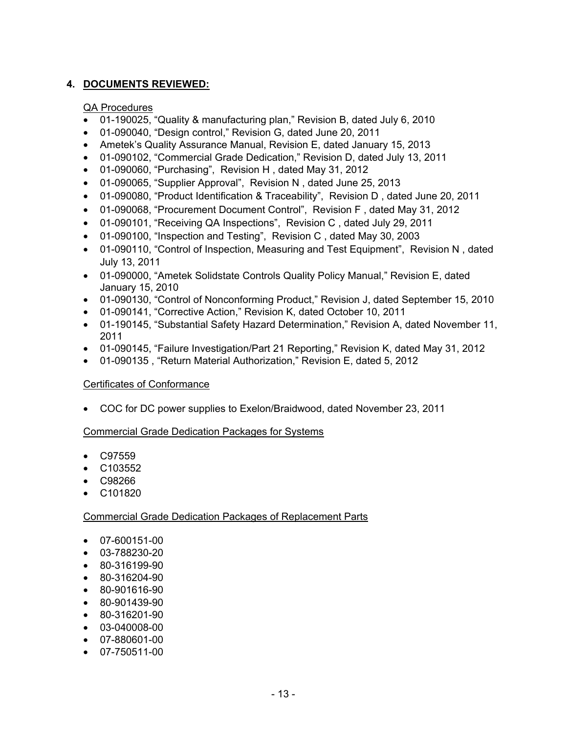## **4. DOCUMENTS REVIEWED:**

### QA Procedures

- 01-190025, "Quality & manufacturing plan," Revision B, dated July 6, 2010
- 01-090040, "Design control," Revision G, dated June 20, 2011
- Ametek's Quality Assurance Manual, Revision E, dated January 15, 2013
- 01-090102, "Commercial Grade Dedication," Revision D, dated July 13, 2011
- 01-090060, "Purchasing", Revision H , dated May 31, 2012
- 01-090065, "Supplier Approval", Revision N , dated June 25, 2013
- 01-090080, "Product Identification & Traceability", Revision D , dated June 20, 2011
- 01-090068, "Procurement Document Control", Revision F , dated May 31, 2012
- 01-090101, "Receiving QA Inspections", Revision C , dated July 29, 2011
- 01-090100, "Inspection and Testing", Revision C , dated May 30, 2003
- 01-090110, "Control of Inspection, Measuring and Test Equipment", Revision N, dated July 13, 2011
- 01-090000, "Ametek Solidstate Controls Quality Policy Manual," Revision E, dated January 15, 2010
- 01-090130, "Control of Nonconforming Product," Revision J, dated September 15, 2010
- 01-090141, "Corrective Action," Revision K, dated October 10, 2011
- 01-190145, "Substantial Safety Hazard Determination," Revision A, dated November 11, 2011
- 01-090145, "Failure Investigation/Part 21 Reporting," Revision K, dated May 31, 2012
- 01-090135 , "Return Material Authorization," Revision E, dated 5, 2012

## Certificates of Conformance

• COC for DC power supplies to Exelon/Braidwood, dated November 23, 2011

## Commercial Grade Dedication Packages for Systems

- C97559
- C103552
- C98266
- C101820

## Commercial Grade Dedication Packages of Replacement Parts

- 07-600151-00
- 03-788230-20
- 80-316199-90
- 80-316204-90
- 80-901616-90
- 80-901439-90
- 80-316201-90
- 03-040008-00
- 07-880601-00
- 07-750511-00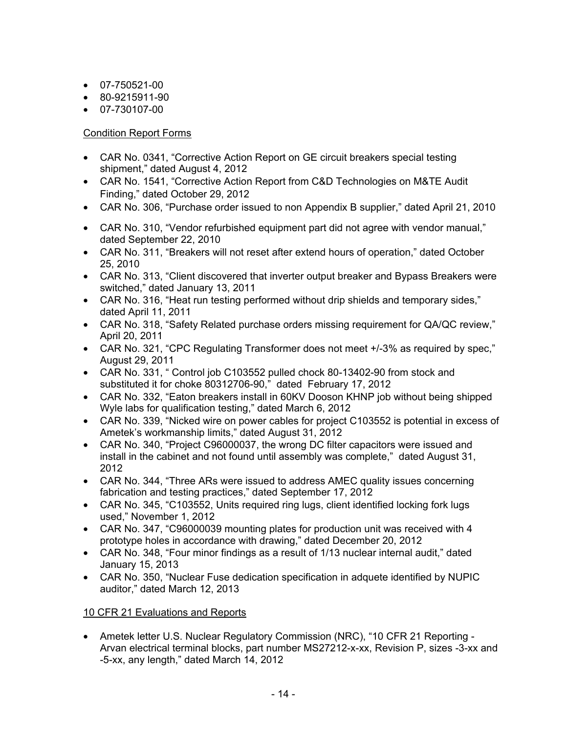- 07-750521-00
- 80-9215911-90
- 07-730107-00

## Condition Report Forms

- CAR No. 0341, "Corrective Action Report on GE circuit breakers special testing shipment," dated August 4, 2012
- CAR No. 1541, "Corrective Action Report from C&D Technologies on M&TE Audit Finding," dated October 29, 2012
- CAR No. 306, "Purchase order issued to non Appendix B supplier," dated April 21, 2010
- CAR No. 310, "Vendor refurbished equipment part did not agree with vendor manual," dated September 22, 2010
- CAR No. 311, "Breakers will not reset after extend hours of operation," dated October 25, 2010
- CAR No. 313, "Client discovered that inverter output breaker and Bypass Breakers were switched," dated January 13, 2011
- CAR No. 316, "Heat run testing performed without drip shields and temporary sides," dated April 11, 2011
- CAR No. 318, "Safety Related purchase orders missing requirement for QA/QC review," April 20, 2011
- CAR No. 321, "CPC Regulating Transformer does not meet +/-3% as required by spec," August 29, 2011
- CAR No. 331, " Control job C103552 pulled chock 80-13402-90 from stock and substituted it for choke 80312706-90," dated February 17, 2012
- CAR No. 332, "Eaton breakers install in 60KV Dooson KHNP job without being shipped Wyle labs for qualification testing," dated March 6, 2012
- CAR No. 339, "Nicked wire on power cables for project C103552 is potential in excess of Ametek's workmanship limits," dated August 31, 2012
- CAR No. 340, "Project C96000037, the wrong DC filter capacitors were issued and install in the cabinet and not found until assembly was complete," dated August 31, 2012
- CAR No. 344, "Three ARs were issued to address AMEC quality issues concerning fabrication and testing practices," dated September 17, 2012
- CAR No. 345, "C103552, Units required ring lugs, client identified locking fork lugs used," November 1, 2012
- CAR No. 347, "C96000039 mounting plates for production unit was received with 4 prototype holes in accordance with drawing," dated December 20, 2012
- CAR No. 348, "Four minor findings as a result of 1/13 nuclear internal audit," dated January 15, 2013
- CAR No. 350, "Nuclear Fuse dedication specification in adquete identified by NUPIC auditor," dated March 12, 2013

## 10 CFR 21 Evaluations and Reports

• Ametek letter U.S. Nuclear Regulatory Commission (NRC), "10 CFR 21 Reporting - Arvan electrical terminal blocks, part number MS27212-x-xx, Revision P, sizes -3-xx and -5-xx, any length," dated March 14, 2012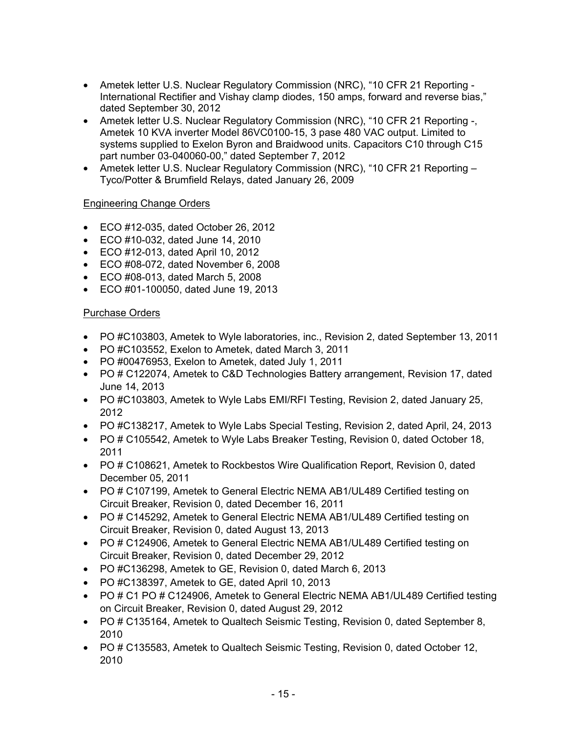- Ametek letter U.S. Nuclear Regulatory Commission (NRC), "10 CFR 21 Reporting -International Rectifier and Vishay clamp diodes, 150 amps, forward and reverse bias," dated September 30, 2012
- Ametek letter U.S. Nuclear Regulatory Commission (NRC), "10 CFR 21 Reporting -, Ametek 10 KVA inverter Model 86VC0100-15, 3 pase 480 VAC output. Limited to systems supplied to Exelon Byron and Braidwood units. Capacitors C10 through C15 part number 03-040060-00," dated September 7, 2012
- Ametek letter U.S. Nuclear Regulatory Commission (NRC), "10 CFR 21 Reporting Tyco/Potter & Brumfield Relays, dated January 26, 2009

## Engineering Change Orders

- ECO #12-035, dated October 26, 2012
- ECO #10-032, dated June 14, 2010
- ECO #12-013, dated April 10, 2012
- ECO #08-072, dated November 6, 2008
- ECO #08-013, dated March 5, 2008
- ECO #01-100050, dated June 19, 2013

## Purchase Orders

- PO #C103803, Ametek to Wyle laboratories, inc., Revision 2, dated September 13, 2011
- PO #C103552, Exelon to Ametek, dated March 3, 2011
- PO #00476953, Exelon to Ametek, dated July 1, 2011
- PO # C122074, Ametek to C&D Technologies Battery arrangement, Revision 17, dated June 14, 2013
- PO #C103803, Ametek to Wyle Labs EMI/RFI Testing, Revision 2, dated January 25, 2012
- PO #C138217, Ametek to Wyle Labs Special Testing, Revision 2, dated April, 24, 2013
- PO # C105542, Ametek to Wyle Labs Breaker Testing, Revision 0, dated October 18, 2011
- PO # C108621, Ametek to Rockbestos Wire Qualification Report, Revision 0, dated December 05, 2011
- PO # C107199, Ametek to General Electric NEMA AB1/UL489 Certified testing on Circuit Breaker, Revision 0, dated December 16, 2011
- PO # C145292, Ametek to General Electric NEMA AB1/UL489 Certified testing on Circuit Breaker, Revision 0, dated August 13, 2013
- PO # C124906, Ametek to General Electric NEMA AB1/UL489 Certified testing on Circuit Breaker, Revision 0, dated December 29, 2012
- PO #C136298, Ametek to GE, Revision 0, dated March 6, 2013
- PO #C138397, Ametek to GE, dated April 10, 2013
- PO # C1 PO # C124906, Ametek to General Electric NEMA AB1/UL489 Certified testing on Circuit Breaker, Revision 0, dated August 29, 2012
- PO # C135164, Ametek to Qualtech Seismic Testing, Revision 0, dated September 8, 2010
- PO # C135583, Ametek to Qualtech Seismic Testing, Revision 0, dated October 12, 2010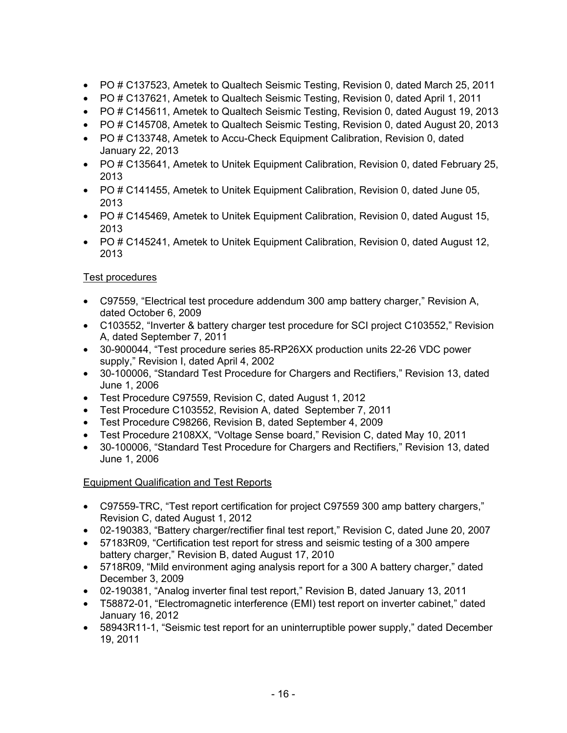- PO # C137523, Ametek to Qualtech Seismic Testing, Revision 0, dated March 25, 2011
- PO # C137621, Ametek to Qualtech Seismic Testing, Revision 0, dated April 1, 2011
- PO # C145611, Ametek to Qualtech Seismic Testing, Revision 0, dated August 19, 2013
- PO # C145708, Ametek to Qualtech Seismic Testing, Revision 0, dated August 20, 2013
- PO # C133748, Ametek to Accu-Check Equipment Calibration, Revision 0, dated January 22, 2013
- PO # C135641, Ametek to Unitek Equipment Calibration, Revision 0, dated February 25, 2013
- PO # C141455, Ametek to Unitek Equipment Calibration, Revision 0, dated June 05, 2013
- PO # C145469, Ametek to Unitek Equipment Calibration, Revision 0, dated August 15, 2013
- PO # C145241, Ametek to Unitek Equipment Calibration, Revision 0, dated August 12, 2013

## Test procedures

- C97559, "Electrical test procedure addendum 300 amp battery charger," Revision A, dated October 6, 2009
- C103552, "Inverter & battery charger test procedure for SCI project C103552," Revision A, dated September 7, 2011
- 30-900044, "Test procedure series 85-RP26XX production units 22-26 VDC power supply," Revision I, dated April 4, 2002
- 30-100006, "Standard Test Procedure for Chargers and Rectifiers," Revision 13, dated June 1, 2006
- Test Procedure C97559, Revision C, dated August 1, 2012
- Test Procedure C103552, Revision A, dated September 7, 2011
- Test Procedure C98266, Revision B, dated September 4, 2009
- Test Procedure 2108XX, "Voltage Sense board," Revision C, dated May 10, 2011
- 30-100006, "Standard Test Procedure for Chargers and Rectifiers," Revision 13, dated June 1, 2006

## Equipment Qualification and Test Reports

- C97559-TRC, "Test report certification for project C97559 300 amp battery chargers," Revision C, dated August 1, 2012
- 02-190383, "Battery charger/rectifier final test report," Revision C, dated June 20, 2007
- 57183R09, "Certification test report for stress and seismic testing of a 300 ampere battery charger," Revision B, dated August 17, 2010
- 5718R09, "Mild environment aging analysis report for a 300 A battery charger," dated December 3, 2009
- 02-190381, "Analog inverter final test report," Revision B, dated January 13, 2011
- T58872-01, "Electromagnetic interference (EMI) test report on inverter cabinet," dated January 16, 2012
- 58943R11-1, "Seismic test report for an uninterruptible power supply," dated December 19, 2011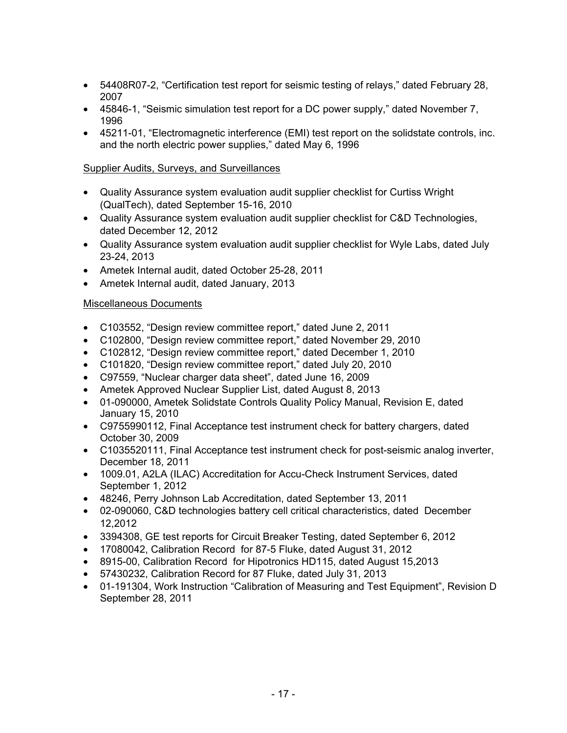- 54408R07-2, "Certification test report for seismic testing of relays," dated February 28, 2007
- 45846-1, "Seismic simulation test report for a DC power supply," dated November 7, 1996
- 45211-01, "Electromagnetic interference (EMI) test report on the solidstate controls, inc. and the north electric power supplies," dated May 6, 1996

## Supplier Audits, Surveys, and Surveillances

- Quality Assurance system evaluation audit supplier checklist for Curtiss Wright (QualTech), dated September 15-16, 2010
- Quality Assurance system evaluation audit supplier checklist for C&D Technologies, dated December 12, 2012
- Quality Assurance system evaluation audit supplier checklist for Wyle Labs, dated July 23-24, 2013
- Ametek Internal audit, dated October 25-28, 2011
- Ametek Internal audit, dated January, 2013

## Miscellaneous Documents

- C103552, "Design review committee report," dated June 2, 2011
- C102800, "Design review committee report," dated November 29, 2010
- C102812, "Design review committee report," dated December 1, 2010
- C101820, "Design review committee report," dated July 20, 2010
- C97559, "Nuclear charger data sheet", dated June 16, 2009
- Ametek Approved Nuclear Supplier List, dated August 8, 2013
- 01-090000, Ametek Solidstate Controls Quality Policy Manual, Revision E, dated January 15, 2010
- C9755990112, Final Acceptance test instrument check for battery chargers, dated October 30, 2009
- C1035520111, Final Acceptance test instrument check for post-seismic analog inverter, December 18, 2011
- 1009.01, A2LA (ILAC) Accreditation for Accu-Check Instrument Services, dated September 1, 2012
- 48246, Perry Johnson Lab Accreditation, dated September 13, 2011
- 02-090060, C&D technologies battery cell critical characteristics, dated December 12,2012
- 3394308, GE test reports for Circuit Breaker Testing, dated September 6, 2012
- 17080042, Calibration Record for 87-5 Fluke, dated August 31, 2012
- 8915-00, Calibration Record for Hipotronics HD115, dated August 15,2013
- 57430232, Calibration Record for 87 Fluke, dated July 31, 2013
- 01-191304, Work Instruction "Calibration of Measuring and Test Equipment", Revision D September 28, 2011